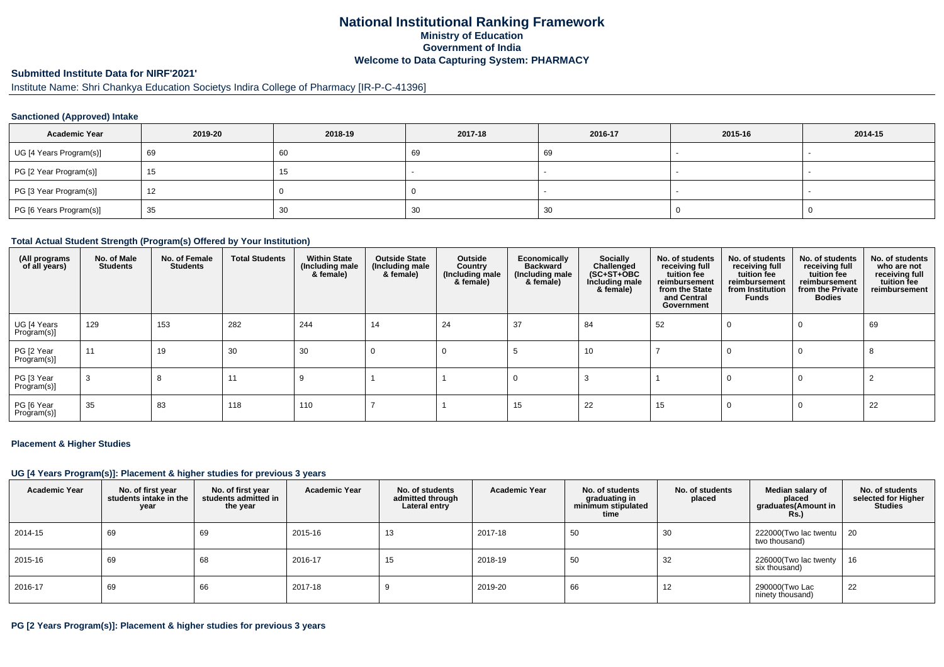# **National Institutional Ranking FrameworkMinistry of Education Government of IndiaWelcome to Data Capturing System: PHARMACY**

### **Submitted Institute Data for NIRF'2021'**

# Institute Name: Shri Chankya Education Societys Indira College of Pharmacy [IR-P-C-41396]

### **Sanctioned (Approved) Intake**

| <b>Academic Year</b>    | 2019-20 | 2018-19 | 2017-18 | 2016-17 | 2015-16 | 2014-15                  |
|-------------------------|---------|---------|---------|---------|---------|--------------------------|
| UG [4 Years Program(s)] | 69      | 60      | 69      | 69      |         | $\overline{\phantom{a}}$ |
| PG [2 Year Program(s)]  | 15      | ں ا     |         |         |         |                          |
| PG [3 Year Program(s)]  | 12      |         |         |         |         | $\overline{\phantom{a}}$ |
| PG [6 Years Program(s)] | 35      | 30      | 30      | -30     |         |                          |

### **Total Actual Student Strength (Program(s) Offered by Your Institution)**

| (All programs<br>of all years) | No. of Male<br><b>Students</b> | No. of Female<br><b>Students</b> | <b>Total Students</b> | <b>Within State</b><br>(Including male<br>& female) | <b>Outside State</b><br>(Including male<br>& female) | Outside<br>Country<br>(Including male<br>& female) | Economically<br><b>Backward</b><br>(Including male<br>& female) | Socially<br>Challenged<br>$(SC+ST+OBC)$<br>Including male<br>& female) | No. of students<br>receiving full<br>tuition fee<br>reimbursement<br>from the State<br>and Central<br>Government | No. of students<br>receiving full<br>tuition fee<br>reimbursement<br>from Institution<br>Funds | No. of students<br>receiving full<br>tuition fee<br>reimbursement<br>from the Private<br><b>Bodies</b> | No. of students<br>who are not<br>receiving full<br>tuition fee<br>reimbursement |
|--------------------------------|--------------------------------|----------------------------------|-----------------------|-----------------------------------------------------|------------------------------------------------------|----------------------------------------------------|-----------------------------------------------------------------|------------------------------------------------------------------------|------------------------------------------------------------------------------------------------------------------|------------------------------------------------------------------------------------------------|--------------------------------------------------------------------------------------------------------|----------------------------------------------------------------------------------|
| UG [4 Years<br>Program(s)]     | 129                            | 153                              | 282                   | 244                                                 | 14                                                   | 24                                                 | 37                                                              | 84                                                                     | 52                                                                                                               | 0                                                                                              | $\Omega$                                                                                               | 69                                                                               |
| PG [2 Year<br>Program(s)]      | 11                             | 19                               | 30                    | 30                                                  | 0                                                    | O                                                  |                                                                 | 10                                                                     |                                                                                                                  | 0                                                                                              | $\Omega$                                                                                               |                                                                                  |
| PG [3 Year<br>Program(s)]      | -3                             |                                  | 11                    |                                                     |                                                      |                                                    |                                                                 |                                                                        |                                                                                                                  | 0                                                                                              | $\Omega$                                                                                               |                                                                                  |
| PG [6 Year<br>Program(s)]      | 35                             | 83                               | 118                   | 110                                                 |                                                      |                                                    | 15                                                              | 22                                                                     | 15                                                                                                               |                                                                                                | 0                                                                                                      | 22                                                                               |

#### **Placement & Higher Studies**

### **UG [4 Years Program(s)]: Placement & higher studies for previous 3 years**

| <b>Academic Year</b> | No. of first year<br>students intake in the<br>year | No. of first vear<br>students admitted in<br>the year | <b>Academic Year</b> | No. of students<br>admitted through<br>Lateral entry | <b>Academic Year</b> | No. of students<br>graduating in<br>minimum stipulated<br>time | No. of students<br>placed | Median salary of<br>placed<br>graduates(Amount in<br><b>Rs.)</b> | No. of students<br>selected for Higher<br><b>Studies</b> |
|----------------------|-----------------------------------------------------|-------------------------------------------------------|----------------------|------------------------------------------------------|----------------------|----------------------------------------------------------------|---------------------------|------------------------------------------------------------------|----------------------------------------------------------|
| 2014-15              | 69                                                  | 69                                                    | 2015-16              | 13                                                   | 2017-18              | 50                                                             | 30                        | 222000(Two lac twentu<br>two thousand)                           | - 20                                                     |
| 2015-16              | 69                                                  | 68                                                    | 2016-17              | 15                                                   | 2018-19              | 50                                                             | 32                        | 226000(Two lac twenty<br>six thousand)                           | 16                                                       |
| 2016-17              | 69                                                  | 66                                                    | 2017-18              |                                                      | 2019-20              | 66                                                             | 12                        | 290000(Two Lac<br>ninety thousand)                               | 22                                                       |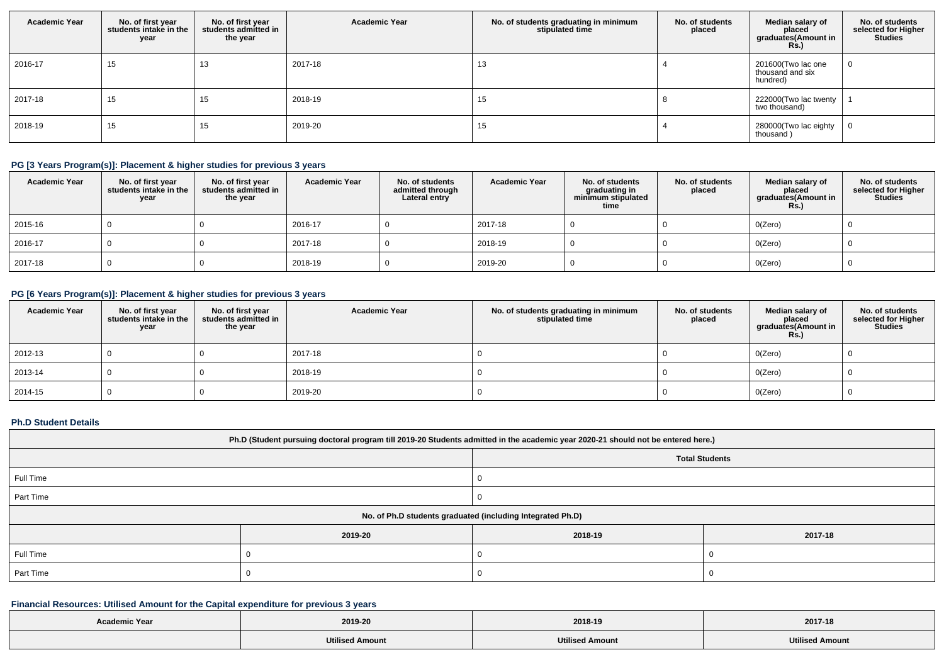| <b>Academic Year</b> | No. of first year<br>students intake in the<br>year | No. of first year<br>students admitted in<br>the year | <b>Academic Year</b> | No. of students graduating in minimum<br>stipulated time | No. of students<br>placed | Median salary of<br>placed<br>graduates(Amount in<br><b>Rs.)</b> | No. of students<br>selected for Higher<br><b>Studies</b> |
|----------------------|-----------------------------------------------------|-------------------------------------------------------|----------------------|----------------------------------------------------------|---------------------------|------------------------------------------------------------------|----------------------------------------------------------|
| 2016-17              | 15                                                  | 13                                                    | 2017-18              | 13                                                       |                           | 201600(Two lac one<br>thousand and six<br>hundred)               |                                                          |
| 2017-18              | 15                                                  | 15                                                    | 2018-19              | 15                                                       |                           | 222000(Two lac twenty<br>two thousand)                           |                                                          |
| 2018-19              | 15                                                  | 15                                                    | 2019-20              | 15                                                       |                           | 280000(Two lac eighty<br>thousand)                               |                                                          |

# **PG [3 Years Program(s)]: Placement & higher studies for previous 3 years**

| <b>Academic Year</b> | No. of first year<br>students intake in the<br>year | No. of first year<br>students admitted in<br>the year | <b>Academic Year</b> | No. of students<br>admitted through<br>Lateral entry | <b>Academic Year</b> | No. of students<br>graduating in<br>minimum stipulated<br>time | No. of students<br>placed | Median salary of<br>placed<br>graduates(Amount in<br><b>Rs.)</b> | No. of students<br>selected for Higher<br>Studies |
|----------------------|-----------------------------------------------------|-------------------------------------------------------|----------------------|------------------------------------------------------|----------------------|----------------------------------------------------------------|---------------------------|------------------------------------------------------------------|---------------------------------------------------|
| 2015-16              |                                                     |                                                       | 2016-17              |                                                      | 2017-18              |                                                                |                           | O(Zero)                                                          |                                                   |
| 2016-17              |                                                     |                                                       | 2017-18              |                                                      | 2018-19              |                                                                |                           | O(Zero)                                                          |                                                   |
| 2017-18              |                                                     |                                                       | 2018-19              |                                                      | 2019-20              |                                                                |                           | O(Zero)                                                          |                                                   |

# **PG [6 Years Program(s)]: Placement & higher studies for previous 3 years**

| <b>Academic Year</b> | No. of first year $ $ students intake in the<br>year | No. of first year<br>students admitted in<br>the year | <b>Academic Year</b> | No. of students graduating in minimum<br>stipulated time | No. of students<br>placed | Median salary of<br>placed<br>graduates(Amount in<br><b>Rs.)</b> | No. of students<br>selected for Higher<br><b>Studies</b> |
|----------------------|------------------------------------------------------|-------------------------------------------------------|----------------------|----------------------------------------------------------|---------------------------|------------------------------------------------------------------|----------------------------------------------------------|
| 2012-13              |                                                      |                                                       | 2017-18              |                                                          |                           | O(Zero)                                                          |                                                          |
| 2013-14              |                                                      |                                                       | 2018-19              |                                                          |                           | O(Zero)                                                          |                                                          |
| 2014-15              |                                                      |                                                       | 2019-20              |                                                          |                           | O(Zero)                                                          |                                                          |

### **Ph.D Student Details**

| Ph.D (Student pursuing doctoral program till 2019-20 Students admitted in the academic year 2020-21 should not be entered here.) |                       |                                                            |         |  |  |
|----------------------------------------------------------------------------------------------------------------------------------|-----------------------|------------------------------------------------------------|---------|--|--|
|                                                                                                                                  | <b>Total Students</b> |                                                            |         |  |  |
| Full Time                                                                                                                        |                       |                                                            |         |  |  |
| Part Time                                                                                                                        |                       |                                                            |         |  |  |
|                                                                                                                                  |                       | No. of Ph.D students graduated (including Integrated Ph.D) |         |  |  |
|                                                                                                                                  | 2019-20               | 2018-19                                                    | 2017-18 |  |  |
| Full Time                                                                                                                        |                       |                                                            |         |  |  |
| Part Time                                                                                                                        |                       |                                                            |         |  |  |

# **Financial Resources: Utilised Amount for the Capital expenditure for previous 3 years**

| <b>Academic Year</b> |                        |                        |                        |
|----------------------|------------------------|------------------------|------------------------|
|                      | 2019-20                | 2018-19                | 2017-18                |
|                      | <b>Utilised Amount</b> | <b>Utilised Amount</b> | <b>Utilised Amount</b> |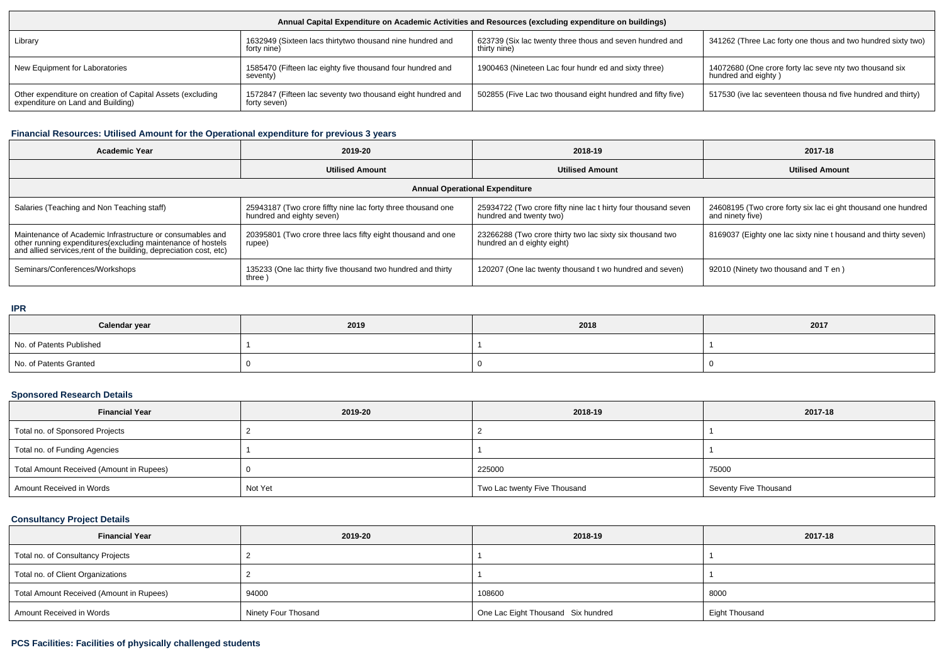| Annual Capital Expenditure on Academic Activities and Resources (excluding expenditure on buildings) |                                                                             |                                                                          |                                                                                |  |  |  |
|------------------------------------------------------------------------------------------------------|-----------------------------------------------------------------------------|--------------------------------------------------------------------------|--------------------------------------------------------------------------------|--|--|--|
| Library                                                                                              | 1632949 (Sixteen lacs thirtytwo thousand nine hundred and<br>forty nine)    | 623739 (Six lac twenty three thous and seven hundred and<br>thirty nine) | 341262 (Three Lac forty one thous and two hundred sixty two)                   |  |  |  |
| New Equipment for Laboratories                                                                       | 1585470 (Fifteen lac eighty five thousand four hundred and<br>seventy)      | 1900463 (Nineteen Lac four hundr ed and sixty three)                     | 14072680 (One crore forty lac seve nty two thousand six<br>hundred and eighty) |  |  |  |
| Other expenditure on creation of Capital Assets (excluding<br>expenditure on Land and Building)      | 1572847 (Fifteen lac seventy two thousand eight hundred and<br>forty seven) | 502855 (Five Lac two thousand eight hundred and fifty five)              | 517530 (ive lac seventeen thousa nd five hundred and thirty)                   |  |  |  |

## **Financial Resources: Utilised Amount for the Operational expenditure for previous 3 years**

| <b>Academic Year</b>                                                                                                                                                                            | 2019-20                                                                                   | 2018-19                                                                                   | 2017-18                                                                           |  |  |  |  |
|-------------------------------------------------------------------------------------------------------------------------------------------------------------------------------------------------|-------------------------------------------------------------------------------------------|-------------------------------------------------------------------------------------------|-----------------------------------------------------------------------------------|--|--|--|--|
|                                                                                                                                                                                                 | <b>Utilised Amount</b>                                                                    | <b>Utilised Amount</b>                                                                    | <b>Utilised Amount</b>                                                            |  |  |  |  |
| <b>Annual Operational Expenditure</b>                                                                                                                                                           |                                                                                           |                                                                                           |                                                                                   |  |  |  |  |
| Salaries (Teaching and Non Teaching staff)                                                                                                                                                      | 25943187 (Two crore fiffty nine lac forty three thousand one<br>hundred and eighty seven) | 25934722 (Two crore fifty nine lac t hirty four thousand seven<br>hundred and twenty two) | 24608195 (Two crore forty six lac ei ght thousand one hundred<br>and ninety five) |  |  |  |  |
| Maintenance of Academic Infrastructure or consumables and<br>other running expenditures (excluding maintenance of hostels<br>and allied services, rent of the building, depreciation cost, etc) | 20395801 (Two crore three lacs fifty eight thousand and one<br>rupee)                     | 23266288 (Two crore thirty two lac sixty six thousand two<br>hundred an d eighty eight)   | 8169037 (Eighty one lac sixty nine t housand and thirty seven)                    |  |  |  |  |
| Seminars/Conferences/Workshops                                                                                                                                                                  | 135233 (One lac thirty five thousand two hundred and thirty<br>three)                     | 120207 (One lac twenty thousand t wo hundred and seven)                                   | 92010 (Ninety two thousand and T en)                                              |  |  |  |  |

#### **IPR**

| Calendar year            | 2019 | 2018 | 2017 |
|--------------------------|------|------|------|
| No. of Patents Published |      |      |      |
| No. of Patents Granted   |      |      |      |

## **Sponsored Research Details**

| <b>Financial Year</b>                    | 2019-20 | 2018-19                      | 2017-18               |
|------------------------------------------|---------|------------------------------|-----------------------|
| Total no. of Sponsored Projects          |         |                              |                       |
| Total no. of Funding Agencies            |         |                              |                       |
| Total Amount Received (Amount in Rupees) |         | 225000                       | 75000                 |
| Amount Received in Words                 | Not Yet | Two Lac twenty Five Thousand | Seventy Five Thousand |

## **Consultancy Project Details**

| <b>Financial Year</b>                    | 2019-20             | 2018-19                            | 2017-18        |  |  |
|------------------------------------------|---------------------|------------------------------------|----------------|--|--|
| Total no. of Consultancy Projects        |                     |                                    |                |  |  |
| Total no. of Client Organizations        |                     |                                    |                |  |  |
| Total Amount Received (Amount in Rupees) | 94000               | 108600                             | 8000           |  |  |
| Amount Received in Words                 | Ninety Four Thosand | One Lac Eight Thousand Six hundred | Eight Thousand |  |  |

## **PCS Facilities: Facilities of physically challenged students**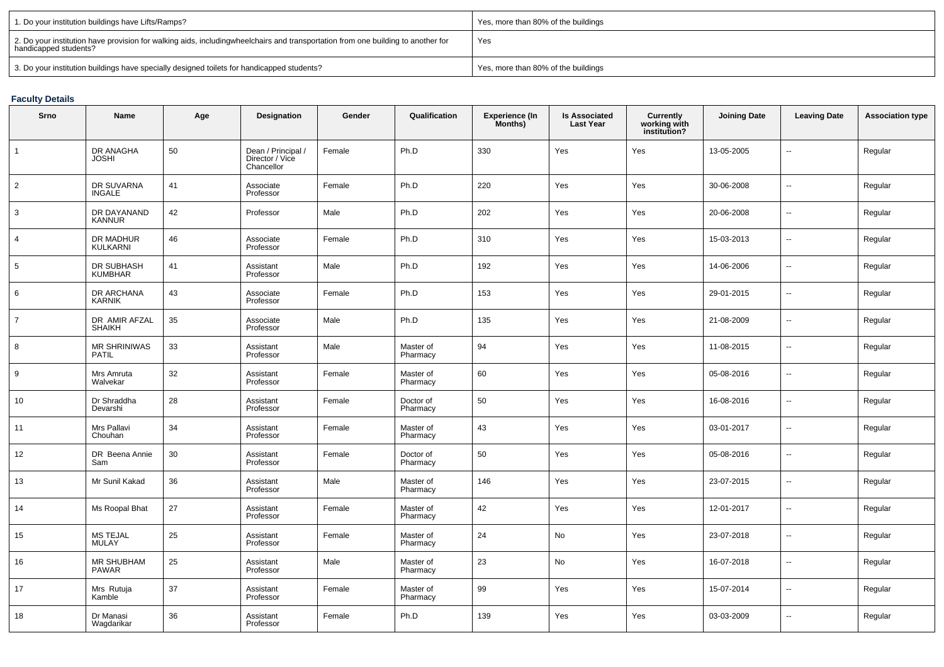| 1. Do your institution buildings have Lifts/Ramps?                                                                                                        | Yes, more than 80% of the buildings |
|-----------------------------------------------------------------------------------------------------------------------------------------------------------|-------------------------------------|
| 2. Do your institution have provision for walking aids, includingwheelchairs and transportation from one building to another for<br>handicapped students? | Yes                                 |
| 3. Do your institution buildings have specially designed toilets for handicapped students?                                                                | Yes, more than 80% of the buildings |

# **Faculty Details**

| <b>Srno</b>    | Name                                | Age | <b>Designation</b>                                  | Gender | Qualification         | <b>Experience (In</b><br>Months) | <b>Is Associated</b><br><b>Last Year</b> | <b>Currently<br/>working with<br/>institution?</b> | <b>Joining Date</b> | <b>Leaving Date</b>      | <b>Association type</b> |
|----------------|-------------------------------------|-----|-----------------------------------------------------|--------|-----------------------|----------------------------------|------------------------------------------|----------------------------------------------------|---------------------|--------------------------|-------------------------|
| 1              | DR ANAGHA<br><b>JOSHI</b>           | 50  | Dean / Principal /<br>Director / Vice<br>Chancellor | Female | Ph.D                  | 330                              | Yes                                      | Yes                                                | 13-05-2005          | Ξ.                       | Regular                 |
| $\overline{2}$ | DR SUVARNA<br>INGALE                | 41  | Associate<br>Professor                              | Female | Ph.D                  | 220                              | Yes                                      | Yes                                                | 30-06-2008          | Ξ.                       | Regular                 |
| 3              | DR DAYANAND<br><b>KANNUR</b>        | 42  | Professor                                           | Male   | Ph.D                  | 202                              | Yes                                      | Yes                                                | 20-06-2008          | Ξ.                       | Regular                 |
| $\overline{4}$ | DR MADHUR<br>KULKARNI               | 46  | Associate<br>Professor                              | Female | Ph.D                  | 310                              | Yes                                      | Yes                                                | 15-03-2013          | $\overline{\phantom{a}}$ | Regular                 |
| 5              | DR SUBHASH<br><b>KUMBHAR</b>        | 41  | Assistant<br>Professor                              | Male   | Ph.D                  | 192                              | Yes                                      | Yes                                                | 14-06-2006          | ц.                       | Regular                 |
| 6              | <b>DR ARCHANA</b><br><b>KARNIK</b>  | 43  | Associate<br>Professor                              | Female | Ph.D                  | 153                              | Yes                                      | Yes                                                | 29-01-2015          | --                       | Regular                 |
| $\overline{7}$ | DR AMIR AFZAL<br><b>SHAIKH</b>      | 35  | Associate<br>Professor                              | Male   | Ph.D                  | 135                              | Yes                                      | Yes                                                | 21-08-2009          | $\overline{\phantom{a}}$ | Regular                 |
| 8              | <b>MR SHRINIWAS</b><br><b>PATIL</b> | 33  | Assistant<br>Professor                              | Male   | Master of<br>Pharmacy | 94                               | Yes                                      | Yes                                                | 11-08-2015          | $\overline{a}$           | Regular                 |
| 9              | Mrs Amruta<br>Walvekar              | 32  | Assistant<br>Professor                              | Female | Master of<br>Pharmacy | 60                               | Yes                                      | Yes                                                | 05-08-2016          | $\overline{a}$           | Regular                 |
| 10             | Dr Shraddha<br>Devarshi             | 28  | Assistant<br>Professor                              | Female | Doctor of<br>Pharmacy | 50                               | <b>Yes</b>                               | Yes                                                | 16-08-2016          | Ξ.                       | Regular                 |
| 11             | Mrs Pallavi<br>Chouhan              | 34  | Assistant<br>Professor                              | Female | Master of<br>Pharmacy | 43                               | Yes                                      | Yes                                                | 03-01-2017          | Ξ.                       | Regular                 |
| 12             | DR Beena Annie<br>Sam               | 30  | Assistant<br>Professor                              | Female | Doctor of<br>Pharmacy | 50                               | Yes                                      | Yes                                                | 05-08-2016          | $\overline{a}$           | Regular                 |
| 13             | Mr Sunil Kakad                      | 36  | Assistant<br>Professor                              | Male   | Master of<br>Pharmacy | 146                              | Yes                                      | Yes                                                | 23-07-2015          | Ξ.                       | Regular                 |
| 14             | Ms Roopal Bhat                      | 27  | Assistant<br>Professor                              | Female | Master of<br>Pharmacy | 42                               | Yes                                      | Yes                                                | 12-01-2017          | $\overline{a}$           | Regular                 |
| 15             | MS TEJAL<br><b>MULAY</b>            | 25  | Assistant<br>Professor                              | Female | Master of<br>Pharmacy | 24                               | No                                       | Yes                                                | 23-07-2018          | $\overline{\phantom{a}}$ | Regular                 |
| 16             | MR SHUBHAM<br><b>PAWAR</b>          | 25  | Assistant<br>Professor                              | Male   | Master of<br>Pharmacy | 23                               | No                                       | Yes                                                | 16-07-2018          | Ξ.                       | Regular                 |
| 17             | Mrs Rutuja<br>Kamble                | 37  | Assistant<br>Professor                              | Female | Master of<br>Pharmacy | 99                               | Yes                                      | Yes                                                | 15-07-2014          | Ξ.                       | Regular                 |
| 18             | Dr Manasi<br>Wagdarikar             | 36  | Assistant<br>Professor                              | Female | Ph.D                  | 139                              | Yes                                      | Yes                                                | 03-03-2009          | --                       | Regular                 |